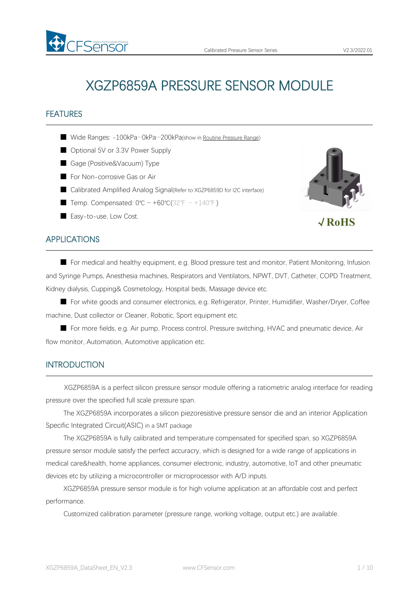# XGZP6859A PRESSURE SENSOR MODULE

# FEATURES

- Wide Ranges: -100kPa…0kPa…200kPa(show in Routine [Pressure](#page-4-0) Range)
- Optional 5V or 3.3V Power Supply
- Gage (Positive&Vacuum) Type
- For Non-corrosive Gas or Air
- Calibrated Amplified Analog Signal(Refer to XGZP6859D for I2C interface)
- Temp. Compensated:  $0^{\circ}C \sim +60^{\circ}C(32^{\circ}F \sim +140^{\circ}F)$
- Easy-to-use, Low Cost.



√**RoHS**

# APPLICATIONS

■ For medical and healthy equipment, e.g. Blood pressure test and monitor, Patient Monitoring, Infusion and Syringe Pumps, Anesthesia machines, Respirators and Ventilators, NPWT, DVT, Catheter, COPD Treatment, Kidney dialysis, Cupping& Cosmetology, Hospital beds, Massage device etc.

■ For white goods and consumer electronics, e.g. Refrigerator, Printer, Humidifier, Washer/Dryer, Coffee machine, Dust collector or Cleaner, Robotic, Sport equipment etc.

■ For more fields, e.g. Air pump, Process control, Pressure switching, HVAC and pneumatic device, Air flow monitor, Automation, Automotive application etc.

### **INTRODUCTION**

XGZP6859A is a perfect silicon pressure sensor module offering a ratiometric analog interface for reading pressure over the specified full scale pressure span.

The XGZP6859A incorporates a silicon piezoresistive pressure sensor die and an interior Application Specific Integrated Circuit(ASIC) in a SMT package

The XGZP6859A is fully calibrated and temperature compensated for specified span, so XGZP6859A pressure sensor module satisfy the perfect accuracry, which is designed for a wide range of applications in medical care&health, home appliances, consumer electronic, industry, automotive, loT and other pneumatic devices etc by utilizing a microcontroller or microprocessor with A/D inputs.

XGZP6859A pressure sensor module is for high volume application at an affordable cost and perfect performance.

Customized calibration parameter (pressure range, working voltage, output etc.) are available.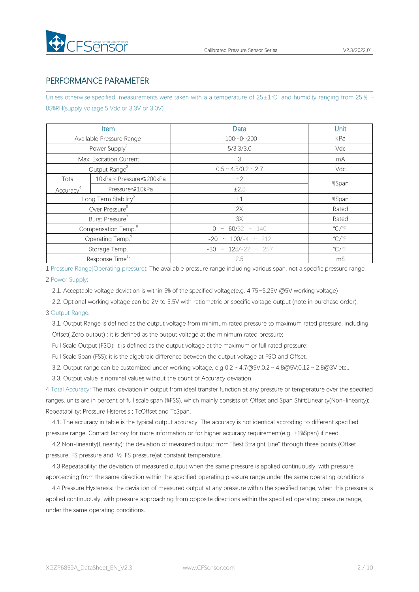

# PERFORMANCE PARAMETER

Unless otherwise specified, measurements were taken with a a temperature of 25±1℃ and humidity ranging from 25 % ~ 85%RH(supply voltage:5 Vdc or 3.3V or 3.0V)

|                       | Item                                  | Data                              | Unit                    |
|-----------------------|---------------------------------------|-----------------------------------|-------------------------|
|                       | Available Pressure Range <sup>1</sup> | $-1000200$                        | kPa                     |
|                       | Power Supply <sup>2</sup>             | 5/3.3/3.0                         | Vdc                     |
|                       | Max. Excitation Current               | 3                                 | mA                      |
|                       | Output Range <sup>3</sup>             | $0.5 \sim 4.5/0.2 \sim 2.7$       | Vdc                     |
| Total                 | 10kPa < Pressure ≤ 200kPa             | ±2                                | %Span                   |
| Accuracy <sup>4</sup> | Pressure ≤ 10kPa                      | ±2.5                              |                         |
|                       | Long Term Stability <sup>5</sup>      | ±1                                | %Span                   |
|                       | Over Pressure <sup>6</sup>            | 2X                                | Rated                   |
|                       | Burst Pressure <sup>7</sup>           | 3X                                | Rated                   |
|                       | Compensation Temp. <sup>8</sup>       | $0 \sim 60/32 \sim 140$           | $\mathrm{C}/\mathrm{F}$ |
|                       | Operating Temp. <sup>9</sup>          | $-20 \sim 100/-4 \sim 212$        | $\mathrm{C}/\mathrm{F}$ |
|                       | Storage Temp.                         | $-30 \approx 125/-22 \approx 257$ | $\mathrm{C}/\mathrm{F}$ |
|                       | Response Time <sup>10</sup>           | 2.5                               | mS                      |

1 Pressure Range(Operating pressure): The available pressure range including variousspan, not a specific pressure range .

#### 2 Power Supply:

2.1. Acceptable voltage deviation is within 5% of the specified voltage(e.g. 4.75~5.25V @5V working voltage)

2.2. Optional working voltage can be 2V to 5.5V with ratiometric or specific voltage output (note in purchase order).

### 3 Output Range:

3.1. Output Range is defined as the output voltage from minimum rated pressure to maximum rated pressure, including Offset( Zero output) : it is defined as the output voltage at the minimum rated pressure;

Full Scale Output (FSO): it is defined as the output voltage at the maximum or full rated pressure;

Full Scale Span (FSS): it is the algebraic difference between the output voltage at FSO and Offset.

3.2. Output range can be customized under working voltage, e.g  $0.2 \sim 4.7 \text{ @V}$ ;0.2 ~  $4.8 \text{ @V}$ ;0.12 ~ 2.8 $\text{ @3V}$  etc,.

3.3. Output value is nominal values without the count of Accuracy deviation.

4 Total Accuracy: The max. deviation in output from ideal transfer function at any pressure or temperature over the specified ranges, units are in percent of full scale span (%FSS), which mainly consists of: Offset and Span Shift; Linearity(Non-linearity); Repeatability; Pressure Hsteresis ; TcOffset and TcSpan.

4.1. The accuracy in table is the typical output accuracy. The accuracy is notidentical accroding to different specified pressure range. Contact factory for more information or for higher accuracy requirement(e.g ±1%Span) if need.

4.2 Non-linearity(Linearity): the deviation of measured output from "Best Straight Line" through three points (Offset pressure, FS pressure and ½ FS pressure)at constant temperature.

4.3 Repeatability: the deviation of measured output when the same pressure is applied continuously, with pressure approaching from the same direction within the specified operating pressure range,under the same operating conditions.

4.4 Pressure Hysteresis: the deviation of measured output at any pressure within the specified range, when this pressure is applied continuously, with pressure approaching from opposite directions within the specified operating pressure range, under the same operating conditions.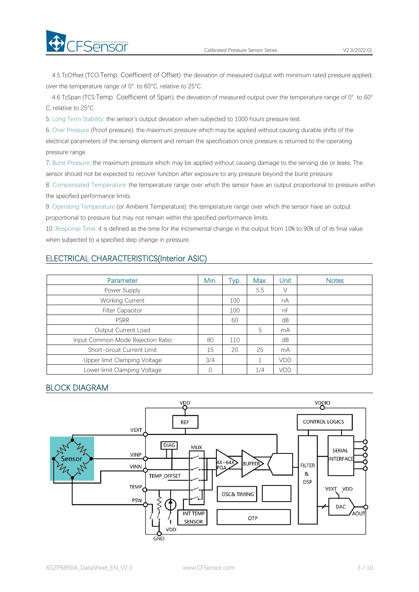4.5 TcOffset (TCO:Temp. Coefficient of Offset): the deviation of measured output with minimum rated pressure applied, over the temperature range of 0° to 60°C, relative to 25°C.

4.6 TcSpan (TCS:Temp. Coefficient of Span): the deviation of measured output over the temperature range of 0° to 60° C, relative to 25°C.

5. Long Term Stability: the sensor's output deviation when subjected to 1000 hours pressure test.

6. Over Pressure (Proof pressure): the maximum pressure which may be applied without causing durable shifts of the electrical parameters of the sensing element and remain the specification once pressure is returned to the operating pressure range.

7. Burst Pressure: the maximum pressure which may be applied without causing damage to the sensing die or leaks; The sensor should not be expected to recover function after exposure to any pressure beyond the burst pressure.

8. Compensated Temperature: the temperature range over which the sensor have an output proportional to pressure within the specified performance limits.

9. Operating Temperature (or Ambient Temperature): the temperature range over which the sensor have an output proportional to pressure but may not remain within the specified performance limits.

10. Response Time: it is defined as the time for the incremental change in the output from 10% to 90% of of its final value when subjected to a specified step change in pressure.

# ELECTRICAL CHARACTERISTICS(Interior ASIC)

| Parameter                         | Min.     | Typ. | Max. | Unit | <b>Notes</b> |
|-----------------------------------|----------|------|------|------|--------------|
| Power Supply                      |          |      | 5.5  | V    |              |
| <b>Working Current</b>            |          | 100  |      | nA   |              |
| <b>Filter Capacitor</b>           |          | 100  |      | nF   |              |
| <b>PSRR</b>                       |          | 60   |      | dB   |              |
| Output Current Load               |          |      | 5    | mA   |              |
| Input Common Mode Rejection Ratio | 80       | 110  |      | dB   |              |
| Short-circuit Current Limit       | 15       | 20   | 25   | mA   |              |
| Upper limit Clamping Voltage      | 3/4      |      |      | VDD  |              |
| Lower limit Clamping Voltage      | $\Omega$ |      | 1/4  | VDD  |              |

### BLOCK DIAGRAM

**Exercise** 

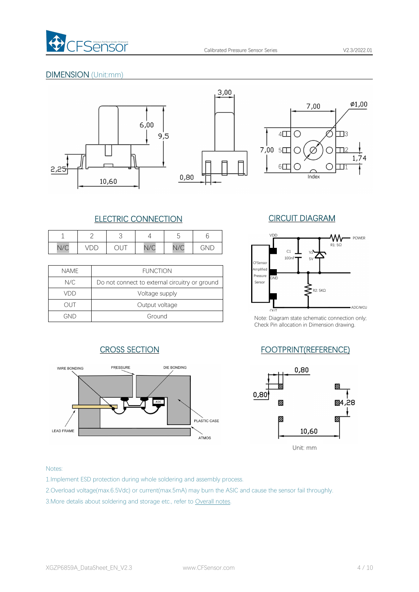

# DIMENSION (Unit:mm)







# ELECTRIC CONNECTION CIRCUIT DIAGRAM

|     |                               |                            |           | $\overline{\phantom{a}}$ |             | VDD |
|-----|-------------------------------|----------------------------|-----------|--------------------------|-------------|-----|
| N/C | ◡<br>$\overline{\phantom{0}}$ | $\sim$<br>◡<br>$\check{ }$ | 1/6<br>Vし | N1/C<br>$V \cup$         | $N_{\rm L}$ | C1  |

| <b>NAME</b> | <b>FUNCTION</b>                                | Amplified<br>Pressure |               |
|-------------|------------------------------------------------|-----------------------|---------------|
| N/C         | Do not connect to external circuitry or ground | Sensor                | GND           |
| VDD         | Voltage supply                                 |                       |               |
| JUT         | Output voltage                                 |                       | OIII          |
| GND         | Ground                                         |                       | Note: Diagrar |





Note: Diagram state schematic connection only; Check Pin allocation in Dimension drawing.

# CROSS SECTION FOOTPRINT(REFERENCE)



### Notes:

1.Implement ESD protection during whole soldering and assembly process.

2.Overload voltage(max.6.5Vdc) or current(max.5mA) may burn the ASIC and cause the sensor fail throughly.

3.More detalis about soldering and storage etc., refer to Overall notes.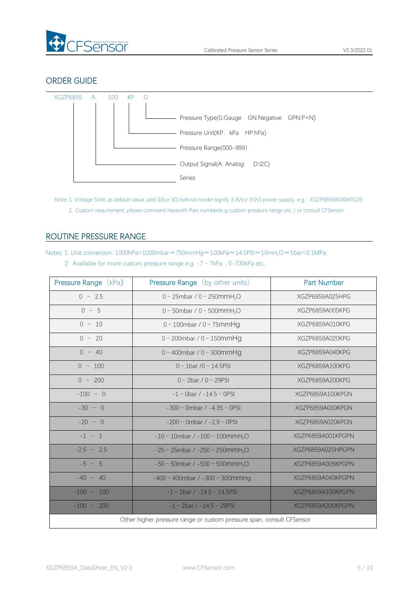

# ORDER GUIDE



Note: 1. Voltage 5Vdc as default value, add 33(or 30) behind model signify 3.3V(or 3.0V) power supply, e.g. : XGZP6859A040KPG33.

2. Custom requirement, please comment herewith Part number(e.g custom pressure range etc,.) or consult CFSensor

# <span id="page-4-0"></span>ROUTINE PRESSURE RANGE

Notes: 1. Unit conversion: 1000hPa=1000mbar≈750mmHg≈100kPa≈14.5PSI≈10mH<sub>2</sub>O≈1bar=0.1MPa;

2. Available for more custom pressure range e.g. -7 ~ 7kPa, , 0-700kPa etc,.

| <b>Pressure Range (kPa)</b> | <b>Pressure Range</b> (by other units)                                | <b>Part Number</b> |
|-----------------------------|-----------------------------------------------------------------------|--------------------|
| $0 \sim 2.5$                | 0 ~ 25mbar / 0 ~ 250mmH <sub>2</sub> O                                | XGZP6859A025HPG    |
| $0 \sim 5$                  | 0 ~ 50mbar / 0 ~ 500mmH <sub>2</sub> O                                | XGZP6859A005KPG    |
| $0 \sim 10$                 | $0 \sim 100$ mbar / $0 \sim 75$ mmHg                                  | XGZP6859A010KPG    |
| $0 \sim 20$                 | $0 \sim 200$ mbar / $0 \sim 150$ mmHg                                 | XGZP6859A020KPG    |
| $0 \sim 40$                 | $0 \sim 400$ mbar / $0 \sim 300$ mmHg                                 | XGZP6859A040KPG    |
| $0 \sim 100$                | $0 \sim 1$ bar /0 ~ 14.5PSI                                           | XGZP6859A100KPG    |
| $0 \sim 200$                | $0 \sim 2$ bar / $0 \sim 29$ PSI                                      | XGZP6859A200KPG    |
| $-100 - 0$                  | $-1 \sim$ 0bar / $-14.5 \sim$ 0PSI                                    | XGZP6859A100KPGN   |
| $-30 \sim 0$                | $-300 \sim$ 0mbar / $-4.35 \sim$ 0PSI                                 | XGZP6859A030KPGN   |
| $-20 \sim 0$                | $-200 \sim$ 0mbar / $-2.9 \sim$ 0PSI                                  | XGZP6859A020KPGN   |
| $-1$ $\sim$ 1               | $-10 \sim 10$ mbar / $-100 \sim 100$ mmH <sub>2</sub> O               | XGZP6859A001KPGPN  |
| $-2.5$ ~ 2.5                | $-25 \sim 25$ mbar / $-250 \sim 250$ mmH <sub>2</sub> O               | XGZP6859A025HPGPN  |
| $-5 \sim 5$                 | $-50 \sim 50$ mbar / $-500 \sim 500$ mmH <sub>2</sub> O               | XGZP6859A005KPGPN  |
| $-40 \sim 40$               | $-400 \sim 400$ mbar / $-300 \sim 300$ mmHg                           | XGZP6859A040KPGPN  |
| $-100 \sim 100$             | $-1 \sim 1$ bar / $-14.5 \sim 14.5$ PSI                               | XGZP6859A100KPGPN  |
| $-100 \sim 200$             | $-1 \sim 2$ bar / $-14.5 \sim 29$ PSI                                 | XGZP6859A200KPGPN  |
|                             | Other higher pressure range or custom pressure span, consult CFSensor |                    |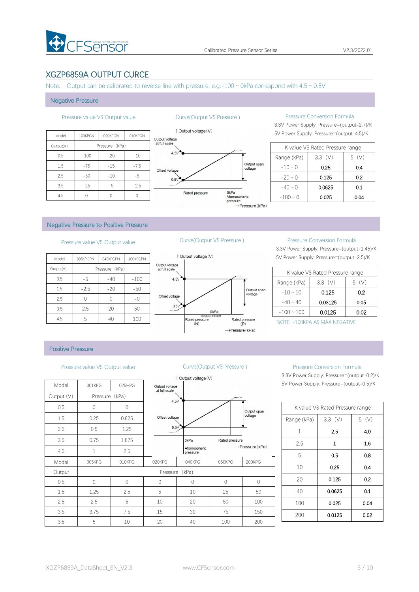

# XGZP6859A OUTPUT CURCE

Note: Output can be calibrated to reverse line with pressure, e.g.-100  $\sim$  0kPa correspond with 4.5  $\sim$  0.5V;

#### Negative Pressure

|           |         |                |         |                | <b>Dutput voltage (V)</b> |
|-----------|---------|----------------|---------|----------------|---------------------------|
| Model     | 100KPGN | 020KPGN        | 010KPGN | Output voltage |                           |
| Output(V) |         | Pressure (kPa) |         | at full scale  |                           |
| 0.5       | $-100$  | $-20$          | $-10$   | 4.5V           |                           |
| 1.5       | $-75$   | $-15$          | $-7.5$  | Offset voltage |                           |
| 2.5       | $-50$   | $-10$          | $-5$    | 0.5V           |                           |
| 3.5       | $-25$   | $-5$           | $-2.5$  | $\cdots$       |                           |
| 4.5       |         | 0              | 0       |                | <b>Rated pressure</b>     |



#### Pressure value VS Output value Curve(Output VS Pressure ) Pressure Conversion Formula

3.3V Power Supply: Pressure=(output-2.7)/K

|               | K value VS Rated Pressure range |      |
|---------------|---------------------------------|------|
| Range (kPa)   | $3.3$ (V)                       | 5(V) |
| $-10 \sim 0$  | 0.25                            | 0.4  |
| $-20 \sim 0$  | 0.125                           | 0.2  |
| $-40 \sim 0$  | 0.0625                          | 0.1  |
| $-100 \sim 0$ | 0.025                           | 0.04 |

#### Negative Pressure to Positive Pressure

### Pressure value VS Output value Curve(Output VS Pressure ) Pressure Conversion Formula

| 1 Output vo     |                                 | 100KPGPN | 040KPGPN       | 005KPGPN | Model     |
|-----------------|---------------------------------|----------|----------------|----------|-----------|
|                 | Output voltage<br>at full scale |          | Pressure (kPa) |          | Output(V) |
|                 | 4.5V                            | $-100$   | $-40$          | -5       | 0.5       |
|                 |                                 | $-50$    | $-20$          | $-2.5$   | 1.5       |
|                 | Offset voltage                  | $-()$    |                |          | 2.5       |
|                 | 0.5V                            | 50       | 20             | 2.5      | 3.5       |
| Rated pr<br>(N) |                                 | 100      | 40             | 5        | 4.5       |



3.3V Power Supply: Pressure=(output-1.45)/K 5V Power Supply: Pressure=(output-2.5)/K

|                 | K value VS Rated Pressure range |          |
|-----------------|---------------------------------|----------|
| Range (kPa)     | 3.3(V)                          | (V)<br>5 |
| $-10 \sim 10$   | 0.125                           | 0.2      |
| $-40 \sim 40$   | 0.03125                         | 0.05     |
| $-100 \sim 100$ | 0.0125                          | 0.02     |

NOTE: -100KPA AS MAX NEGATIVE

#### Positive Pressure

#### Pressure value VS Output value Curve(Output VS Pressure ) Pressure Conversion Formula

|            |                |        |                                 | 1 Output voltage (V)     |       |
|------------|----------------|--------|---------------------------------|--------------------------|-------|
| Model      | 001KPG         | 025HPG | Output voltage<br>at full scale |                          |       |
| Output (V) | Pressure (kPa) |        | 4.5V                            |                          |       |
| 0.5        | $\mathbf 0$    | 0      |                                 |                          |       |
| 1.5        | 0.25           | 0.625  | Offset voltage                  |                          |       |
| 2.5        | 0.5            | 1.25   | 0.5V                            |                          |       |
| 3.5        | 0.75           | 1.875  |                                 | 0 <sub>kPa</sub>         | Rated |
| 4.5        | $\mathbf{1}$   | 2.5    |                                 | Atomospheric<br>pressure |       |
| Model      | 005KPG         | 010KPG | 020KPG                          | 040KPG                   | 060K  |
| Output     |                |        |                                 | Pressure (kPa)           |       |
| 0.5        | $\mathbf 0$    | 0      | 0                               | 0                        | 0     |
| 1.5        | 1.25           | 2.5    | 5                               | 10                       | 25    |
| 2.5        | 2.5            | 5      | 10                              | 20                       | 50    |
| 3.5        | 3.75           | 7.5    | 15                              | 30                       | 75    |
| 3.5        | 5              | 10     | 20                              | 40                       | 100   |



3.3V Power Supply: Pressure=(output-0.2)/K 5V Power Supply: Pressure=(output-0.5)/K

|              | K value VS Rated Pressure range |      |
|--------------|---------------------------------|------|
| Range (kPa)  | 3.3(V)                          | 5(V) |
| $\mathbf{1}$ | 2.5                             | 4.0  |
| 2.5          | 1                               | 1.6  |
| 5            | 0.5                             | 0.8  |
| 10           | 0.25                            | 0.4  |
| 20           | 0.125                           | 0.2  |
| 40           | 0.0625                          | 0.1  |
| 100          | 0.025                           | 0.04 |
| 200          | 0.0125                          | 0.02 |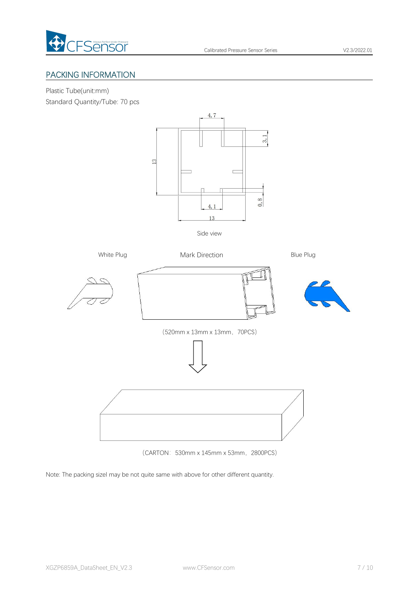

# PACKING INFORMATION

Plastic Tube(unit:mm) Standard Quantity/Tube: 70 pcs



Side view



(CARTON:530mm x 145mm x 53mm,2800PCS)

Note: The packing sizel may be not quite same with above for other different quantity.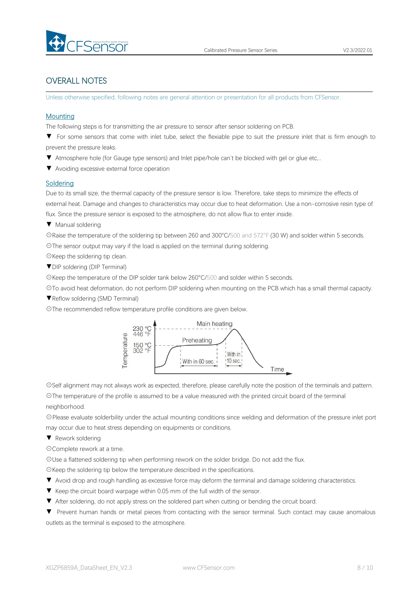

# OVERALL NOTES

Unless otherwise specified, following notes are general attention or presentation for all products from CFSensor.

### **Mounting**

The following steps is for transmitting the air pressure to sensor after sensor soldering on PCB.

- ▼ For some sensors that come with inlet tube, select the flexiable pipe to suit the pressure inlet that is firm enough to prevent the pressure leaks.
- ▼ Atmosphere hole (for Gauge type sensors) and Inlet pipe/hole can't be blocked with gel or glue etc,..
- ▼ Avoiding excessive external force operation

### **Soldering**

Due to its small size, the thermal capacity of the pressure sensor is low. Therefore, take steps to minimize the effects of external heat. Damage and changes to characteristics may occur due to heat deformation. Use a non-corrosive resin type of flux. Since the pressure sensor is exposed to the atmosphere, do not allow flux to enter inside.

▼ Manual soldering

☉Raise the temperature of the soldering tip between 260 and 300°C/500 and 572°F (30 W) and solder within 5 seconds. ☉The sensor output may vary if the load is applied on the terminal during soldering.

- ☉Keep the soldering tip clean.
- ▼DIP soldering (DIP Terminal)

☉Keep the temperature of the DIP solder tank below 260°C/500 and solder within 5 seconds.

☉To avoid heat deformation, do not perform DIP soldering when mounting on the PCB which has a small thermal capacity.

- ▼Reflow soldering (SMD Terminal)
- ☉The recommended reflow temperature profile conditions are given below.



☉Self alignment may not always work as expected, therefore, please carefully note the position of the terminals and pattern. ☉The temperature of the profile is assumed to be a value measured with the printed circuit board of the terminal neighborhood.

☉Please evaluate solderbility under the actual mounting conditions since welding and deformation of the pressure inlet port may occur due to heat stress depending on equipments or conditions.

▼ Rework soldering

☉Complete rework at a time.

☉Use a flattened soldering tip when performing rework on the solder bridge. Do not add the flux.

☉Keep the soldering tip below the temperature described in the specifications.

- ▼ Avoid drop and rough handling as excessive force may deform the terminal and damage soldering characteristics.
- 
- ▼ Keep the circuit board warpage within 0.05 mm of the full width of the sensor.<br>▼ After soldering, do not apply stress on the soldered part when cutting or bending the circuit board.

▼ Prevent human hands or metal pieces from contacting with the sensor terminal. Such contact may cause anomalous outlets as the terminal is exposed to the atmosphere.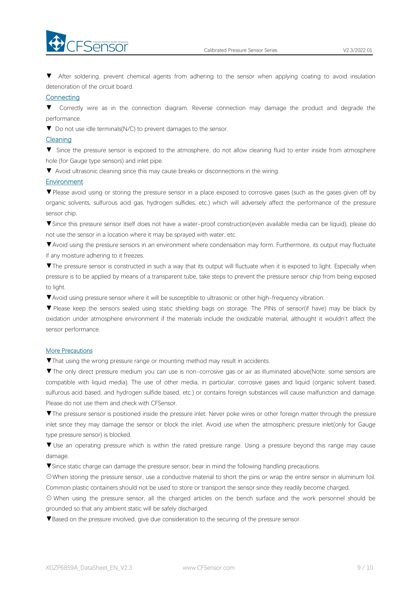



▼ After soldering, prevent chemical agents from adhering to the sensor when applying coating to avoid insulation deterioration of the circuit board.

#### **Connecting**

▼ Correctly wire as in the connection diagram. Reverse connection may damage the product and degrade the performance.

▼ Do not use idle terminals(N/C) to prevent damages to the sensor.

#### Cleaning

▼ Since the pressure sensor is exposed to the atmosphere, do not allow cleaning fluid to enter inside from atmosphere hole (for Gauge type sensors) and inlet pipe.

▼ Avoid ultrasonic cleaning since this may cause breaks or disconnections in the wiring.

### **Environment**

▼Please avoid using or storing the pressure sensor in a place exposed to corrosive gases (such as the gases given off by organic solvents, sulfurous acid gas, hydrogen sulfides, etc.) which will adversely affect the performance of the pressure sensor chip.

▼Since this pressure sensor itself does not have a water-proof construction(even available media can be liquid), please do not use the sensor in alocation where it may be sprayed with water, etc.

▼Avoid using the pressure sensors in an environment where condensation may form. Furthermore, its output may fluctuate if any moisture adhering to it freezes.

▼The pressure sensor is constructed in such a way that its output will fluctuate when it is exposed to light. Especially when pressure is to be applied by means of a transparent tube, take steps to prevent the pressure sensor chip from being exposed to light.

▼Avoid using pressure sensor where it will be susceptible to ultrasonic or other high-frequency vibration.

▼ Please keep the sensors sealed using static shielding bags on storage. The PINs of sensor(if have) may be black by oxidation under atmosphere environment if the materials include the oxidizable material, althought it wouldn't affect the sensor performance.

### More Precautions

▼That using the wrong pressure range or mounting method mayresult in accidents.

▼The only direct pressure medium you can use is non-corrosive gas or air as illuminated above(Note: some sensors are compatible with liquid media). The use of other media, in particular, corrosive gases and liquid (organic solvent based, sulfurous acid based, and hydrogen sulfide based, etc.) or contains foreign substances will cause malfunction and damage.<br>Please do not use them and check with CFSensor.

▼The pressure sensor is positioned inside the pressure inlet. Never poke wires orother foreign matter through the pressure inlet since they may damage the sensor or block the inlet. Avoid use when the atmospheric pressure inlet(only for Gauge type pressure sensor) is blocked.

▼ Use an operating pressure which is within the rated pressure range. Using a pressure beyond this range may cause damage.

▼Since static charge can damage the pressure sensor, bear in mind the following handling precautions.

☉When storing the pressure sensor, use a conductive material to short the pins or wrap the entire sensor in aluminum foil. Common plastic containers should not be used to store or transport the sensor since they readily become charged.

⊙ When using the pressure sensor, all the charged articles on the bench surface and the work personnel should be grounded so that any ambient static will be safely discharged.

▼Based on the pressure involved, give due consideration to the securing of the pressure sensor.